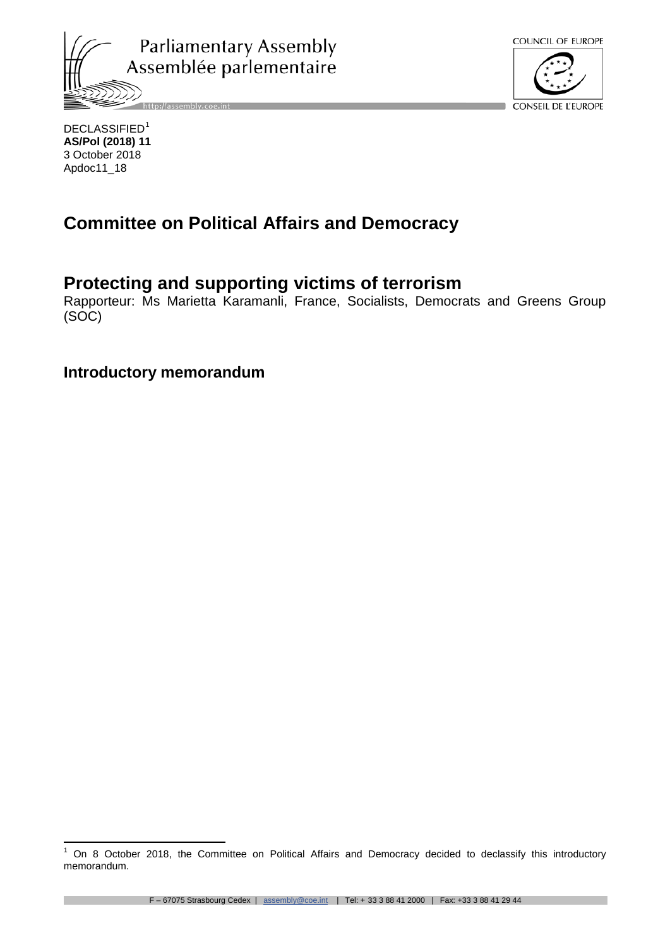



DECLASSIFIED<sup>[1](#page-0-0)</sup> **AS/Pol (2018) 11** 3 October 2018 Apdoc11\_18

# **Committee on Political Affairs and Democracy**

# **Protecting and supporting victims of terrorism**

Rapporteur: Ms Marietta Karamanli, France, Socialists, Democrats and Greens Group (SOC)

**Introductory memorandum**

<span id="page-0-0"></span><sup>1</sup> On 8 October 2018, the Committee on Political Affairs and Democracy decided to declassify this introductory memorandum.  $\mathbf{1}$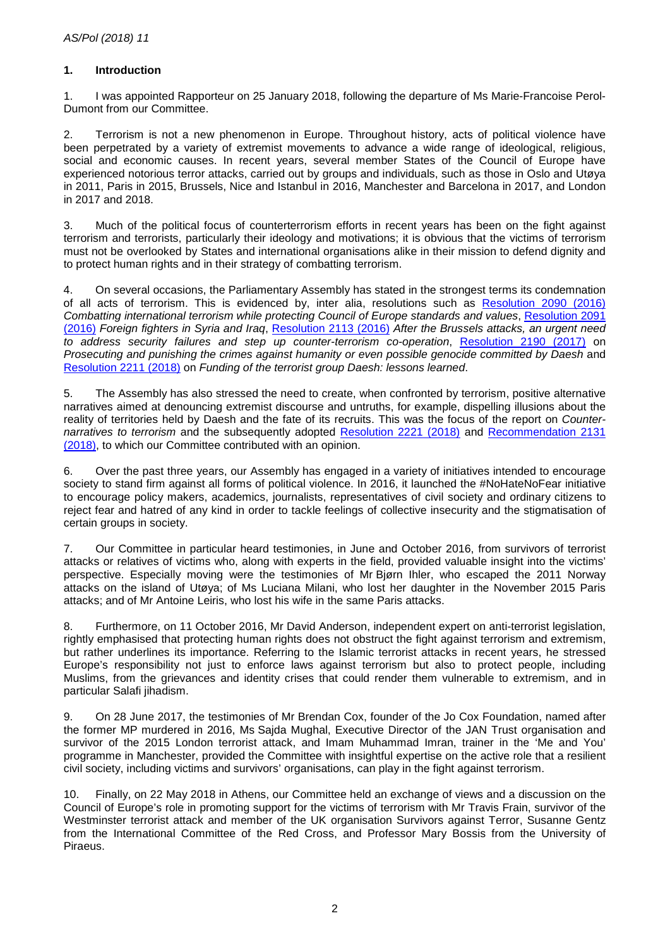## **1. Introduction**

1. I was appointed Rapporteur on 25 January 2018, following the departure of Ms Marie-Francoise Perol-Dumont from our Committee.

2. Terrorism is not a new phenomenon in Europe. Throughout history, acts of political violence have been perpetrated by a variety of extremist movements to advance a wide range of ideological, religious, social and economic causes. In recent years, several member States of the Council of Europe have experienced notorious terror attacks, carried out by groups and individuals, such as those in Oslo and Utøya in 2011, Paris in 2015, Brussels, Nice and Istanbul in 2016, Manchester and Barcelona in 2017, and London in 2017 and 2018.

3. Much of the political focus of counterterrorism efforts in recent years has been on the fight against terrorism and terrorists, particularly their ideology and motivations; it is obvious that the victims of terrorism must not be overlooked by States and international organisations alike in their mission to defend dignity and to protect human rights and in their strategy of combatting terrorism.

4. On several occasions, the Parliamentary Assembly has stated in the strongest terms its condemnation of all acts of terrorism. This is evidenced by, inter alia, resolutions such as [Resolution 2090](http://assembly.coe.int/nw/xml/XRef/Xref-DocDetails-EN.asp?fileid=22481) (2016) *Combatting international terrorism while protecting Council of Europe standards and values*, [Resolution 2091](http://assembly.coe.int/nw/xml/XRef/Xref-DocDetails-EN.asp?fileid=22482)  [\(2016\)](http://assembly.coe.int/nw/xml/XRef/Xref-DocDetails-EN.asp?fileid=22482) *Foreign fighters in Syria and Iraq*, [Resolution 2113 \(2016\)](http://assembly.coe.int/nw/xml/XRef/Xref-DocDetails-EN.asp?fileid=22753) *After the Brussels attacks, an urgent need to address security failures and step up counter-terrorism co-operation*, [Resolution 2190 \(2017\)](http://assembly.coe.int/nw/xml/XRef/Xref-DocDetails-EN.asp?fileid=24219) on *Prosecuting and punishing the crimes against humanity or even possible genocide committed by Daesh* and [Resolution 2211 \(2018\)](http://assembly.coe.int/nw/xml/XRef/Xref-DocDetails-EN.asp?fileid=24696) on *Funding of the terrorist group Daesh: lessons learned*.

5. The Assembly has also stressed the need to create, when confronted by terrorism, positive alternative narratives aimed at denouncing extremist discourse and untruths, for example, dispelling illusions about the reality of territories held by Daesh and the fate of its recruits. This was the focus of the report on *Counternarratives to terrorism* and the subsequently adopted [Resolution 2221 \(2018\)](http://assembly.coe.int/nw/xml/XRef/Xref-DocDetails-EN.asp?fileid=24810) and [Recommendation 2131](http://assembly.coe.int/nw/xml/XRef/Xref-DocDetails-EN.asp?fileid=24811)  [\(2018\),](http://assembly.coe.int/nw/xml/XRef/Xref-DocDetails-EN.asp?fileid=24811) to which our Committee contributed with an opinion.

6. Over the past three years, our Assembly has engaged in a variety of initiatives intended to encourage society to stand firm against all forms of political violence. In 2016, it launched the #NoHateNoFear initiative to encourage policy makers, academics, journalists, representatives of civil society and ordinary citizens to reject fear and hatred of any kind in order to tackle feelings of collective insecurity and the stigmatisation of certain groups in society.

7. Our Committee in particular heard testimonies, in June and October 2016, from survivors of terrorist attacks or relatives of victims who, along with experts in the field, provided valuable insight into the victims' perspective. Especially moving were the testimonies of Mr Bjørn Ihler, who escaped the 2011 Norway attacks on the island of Utøya; of Ms Luciana Milani, who lost her daughter in the November 2015 Paris attacks; and of Mr Antoine Leiris, who lost his wife in the same Paris attacks.

8. Furthermore, on 11 October 2016, Mr David Anderson, independent expert on anti-terrorist legislation, rightly emphasised that protecting human rights does not obstruct the fight against terrorism and extremism, but rather underlines its importance. Referring to the Islamic terrorist attacks in recent years, he stressed Europe's responsibility not just to enforce laws against terrorism but also to protect people, including Muslims, from the grievances and identity crises that could render them vulnerable to extremism, and in particular Salafi jihadism.

9. On 28 June 2017, the testimonies of Mr Brendan Cox, founder of the Jo Cox Foundation, named after the former MP murdered in 2016, Ms Sajda Mughal, Executive Director of the JAN Trust organisation and survivor of the 2015 London terrorist attack, and Imam Muhammad Imran, trainer in the 'Me and You' programme in Manchester, provided the Committee with insightful expertise on the active role that a resilient civil society, including victims and survivors' organisations, can play in the fight against terrorism.

10. Finally, on 22 May 2018 in Athens, our Committee held an exchange of views and a discussion on the Council of Europe's role in promoting support for the victims of terrorism with Mr Travis Frain, survivor of the Westminster terrorist attack and member of the UK organisation Survivors against Terror, Susanne Gentz from the International Committee of the Red Cross, and Professor Mary Bossis from the University of Piraeus.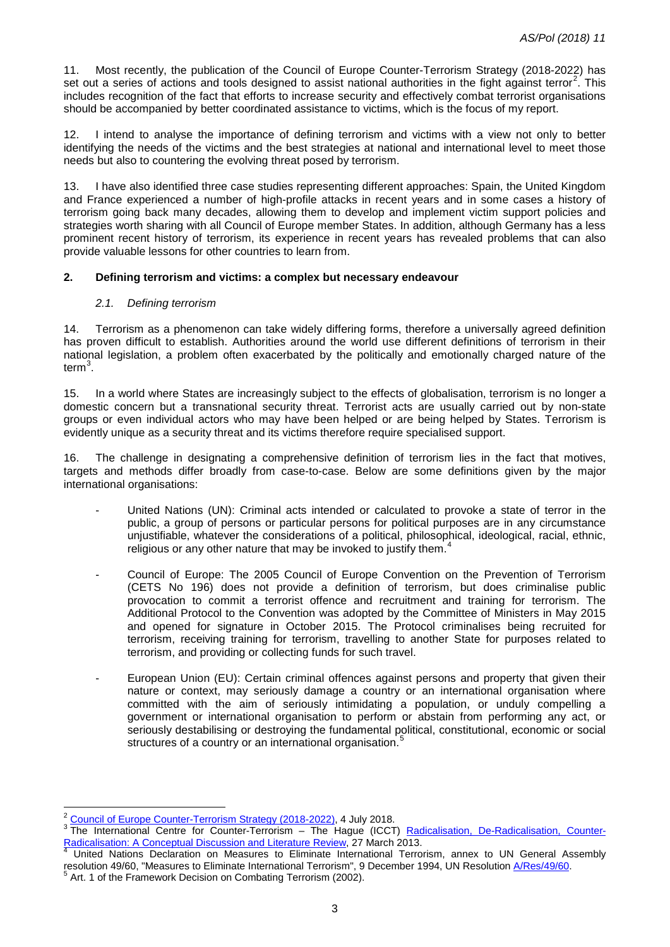11. Most recently, the publication of the Council of Europe Counter-Terrorism Strategy (2018-2022) has set out a series of actions and tools designed to assist national authorities in the fight against terror<sup>[2](#page-2-0)</sup>. This includes recognition of the fact that efforts to increase security and effectively combat terrorist organisations should be accompanied by better coordinated assistance to victims, which is the focus of my report.

12. I intend to analyse the importance of defining terrorism and victims with a view not only to better identifying the needs of the victims and the best strategies at national and international level to meet those needs but also to countering the evolving threat posed by terrorism.

13. I have also identified three case studies representing different approaches: Spain, the United Kingdom and France experienced a number of high-profile attacks in recent years and in some cases a history of terrorism going back many decades, allowing them to develop and implement victim support policies and strategies worth sharing with all Council of Europe member States. In addition, although Germany has a less prominent recent history of terrorism, its experience in recent years has revealed problems that can also provide valuable lessons for other countries to learn from.

## **2. Defining terrorism and victims: a complex but necessary endeavour**

#### *2.1. Defining terrorism*

14. Terrorism as a phenomenon can take widely differing forms, therefore a universally agreed definition has proven difficult to establish. Authorities around the world use different definitions of terrorism in their national legislation, a problem often exacerbated by the politically and emotionally charged nature of the term<sup>[3](#page-2-1)</sup>.

15. In a world where States are increasingly subject to the effects of globalisation, terrorism is no longer a domestic concern but a transnational security threat. Terrorist acts are usually carried out by non-state groups or even individual actors who may have been helped or are being helped by States. Terrorism is evidently unique as a security threat and its victims therefore require specialised support.

16. The challenge in designating a comprehensive definition of terrorism lies in the fact that motives, targets and methods differ broadly from case-to-case. Below are some definitions given by the major international organisations:

- United Nations (UN): Criminal acts intended or calculated to provoke a state of terror in the public, a group of persons or particular persons for political purposes are in any circumstance unjustifiable, whatever the considerations of a political, philosophical, ideological, racial, ethnic, religious or any other nature that may be invoked to justify them.<sup>[4](#page-2-2)</sup>
- Council of Europe: The 2005 Council of Europe Convention on the Prevention of Terrorism (CETS No 196) does not provide a definition of terrorism, but does criminalise public provocation to commit a terrorist offence and recruitment and training for terrorism. The Additional Protocol to the Convention was adopted by the Committee of Ministers in May 2015 and opened for signature in October 2015. The Protocol criminalises being recruited for terrorism, receiving training for terrorism, travelling to another State for purposes related to terrorism, and providing or collecting funds for such travel.
- European Union (EU): Certain criminal offences against persons and property that given their nature or context, may seriously damage a country or an international organisation where committed with the aim of seriously intimidating a population, or unduly compelling a government or international organisation to perform or abstain from performing any act, or seriously destabilising or destroying the fundamental political, constitutional, economic or social structures of a country or an international organisation.<sup>[5](#page-2-3)</sup>

 $\overline{\phantom{a}}$ 

<span id="page-2-1"></span><span id="page-2-0"></span> $\frac{2}{3}$  [Council of Europe Counter-Terrorism Strategy \(2018-2022\),](https://search.coe.int/cm/Pages/result_details.aspx?ObjectId=09000016808afc96) 4 July 2018.<br>
3 The International Centre for Counter-Terrorism – The Hague (ICCT) <u>Radicalisation, De-Radicalisation, Counter-</u><br>
<u>Radicalisation: A Conce</u>

<span id="page-2-2"></span>United Nations Declaration on Measures to Eliminate International Terrorism, annex to UN General Assembly resolution 49/60, "Measures to Eliminate International Terrorism", 9 December 1994, UN Resolution *N/Res/49/60*.<br><sup>5</sup> Art. 1 of the Framework Decision on Combating Terrorism (2002).

<span id="page-2-3"></span>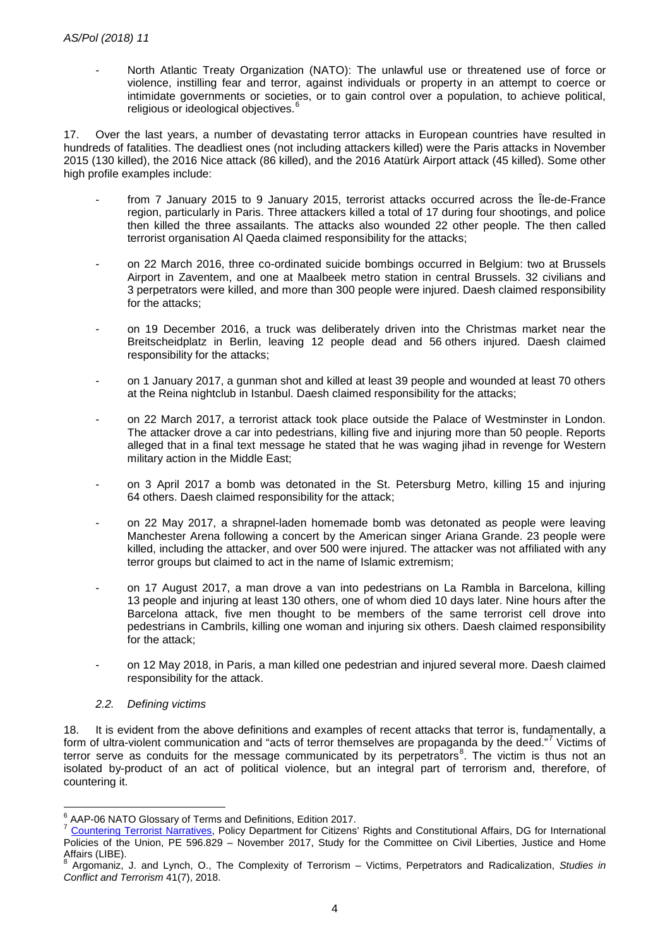- North Atlantic Treaty Organization (NATO): The unlawful use or threatened use of force or violence, instilling fear and terror, against individuals or property in an attempt to coerce or intimidate governments or societies, or to gain control over a population, to achieve political, religious or ideological objectives.<sup>[6](#page-3-0)</sup>

17. Over the last years, a number of devastating terror attacks in European countries have resulted in hundreds of fatalities. The deadliest ones (not including attackers killed) were the Paris attacks in November 2015 (130 killed), the 2016 Nice attack (86 killed), and the 2016 Atatürk Airport attack (45 killed). Some other high profile examples include:

- from 7 January 2015 to 9 January 2015, terrorist attacks occurred across the Île-de-France region, particularly in Paris. Three attackers killed a total of 17 during four shootings, and police then killed the three assailants. The attacks also wounded 22 other people. The then called terrorist organisation Al Qaeda claimed responsibility for the attacks;
- on 22 March 2016, three co-ordinated suicide bombings occurred in Belgium: two at Brussels Airport in Zaventem, and one at Maalbeek metro station in central Brussels. 32 civilians and 3 perpetrators were killed, and more than 300 people were injured. Daesh claimed responsibility for the attacks;
- on 19 December 2016, a truck was deliberately driven into the Christmas market near the Breitscheidplatz in Berlin, leaving 12 people dead and 56 others injured. Daesh claimed responsibility for the attacks;
- on 1 January 2017, a gunman shot and killed at least 39 people and wounded at least 70 others at the Reina nightclub in Istanbul. Daesh claimed responsibility for the attacks;
- on 22 March 2017, a terrorist attack took place outside the Palace of Westminster in London. The attacker drove a car into pedestrians, killing five and injuring more than 50 people. Reports alleged that in a final text message he stated that he was waging jihad in revenge for Western military action in the Middle East;
- on 3 April 2017 a bomb was detonated in the St. Petersburg Metro, killing 15 and injuring 64 others. Daesh claimed responsibility for the attack;
- on 22 May 2017, a shrapnel-laden homemade bomb was detonated as people were leaving Manchester Arena following a concert by the American singer Ariana Grande. 23 people were killed, including the attacker, and over 500 were injured. The attacker was not affiliated with any terror groups but claimed to act in the name of Islamic extremism;
- on 17 August 2017, a man drove a van into pedestrians on La Rambla in Barcelona, killing 13 people and injuring at least 130 others, one of whom died 10 days later. Nine hours after the Barcelona attack, five men thought to be members of the same terrorist cell drove into pedestrians in Cambrils, killing one woman and injuring six others. Daesh claimed responsibility for the attack;
- on 12 May 2018, in Paris, a man killed one pedestrian and injured several more. Daesh claimed responsibility for the attack.

#### *2.2. Defining victims*

18. It is evident from the above definitions and examples of recent attacks that terror is, fundamentally, a form of ultra-violent communication and "acts of terror themselves are propaganda by the deed."<sup>[7](#page-3-1)</sup> Victims of terror serve as conduits for the message communicated by its perpetrators<sup>[8](#page-3-2)</sup>. The victim is thus not an isolated by-product of an act of political violence, but an integral part of terrorism and, therefore, of countering it.

<span id="page-3-0"></span><sup>&</sup>lt;sup>6</sup> AAP-06 NATO Glossary of Terms and Definitions, Edition 2017.

<span id="page-3-1"></span>[Countering Terrorist Narratives,](https://icct.nl/wp-content/uploads/2017/11/Countering-Terrorist-Narratives-Reed-Whittaker-Haroro-European-Parliament.pdf) Policy Department for Citizens' Rights and Constitutional Affairs, DG for International Policies of the Union, PE 596.829 – November 2017, Study for the Committee on Civil Liberties, Justice and Home Affairs (LIBE).

<span id="page-3-2"></span><sup>8</sup> Argomaniz, J. and Lynch, O., The Complexity of Terrorism – Victims, Perpetrators and Radicalization, *Studies in Conflict and Terrorism* 41(7), 2018.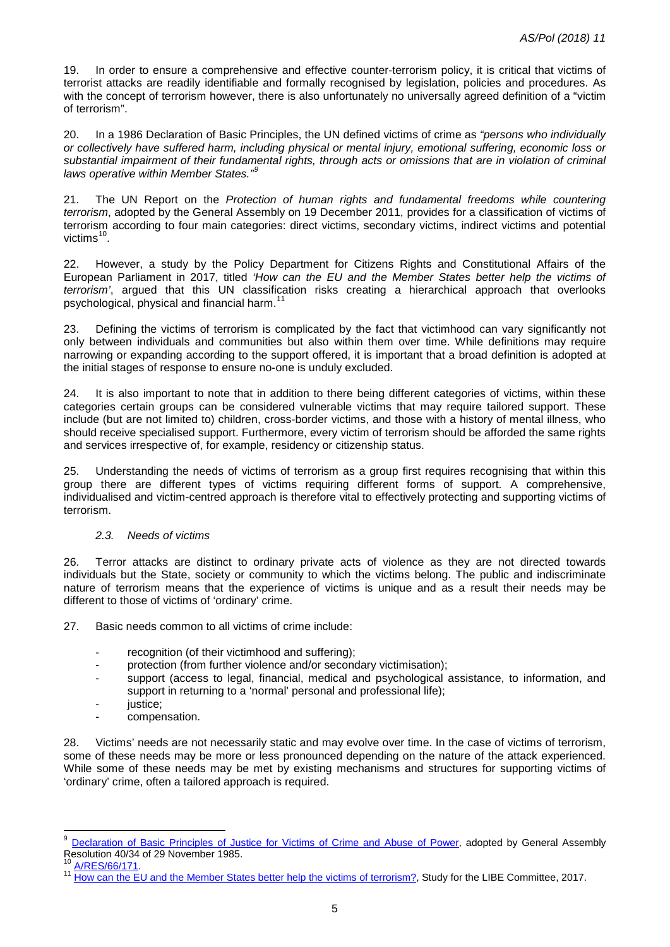19. In order to ensure a comprehensive and effective counter-terrorism policy, it is critical that victims of terrorist attacks are readily identifiable and formally recognised by legislation, policies and procedures. As with the concept of terrorism however, there is also unfortunately no universally agreed definition of a "victim of terrorism".

20. In a 1986 Declaration of Basic Principles, the UN defined victims of crime as *"persons who individually or collectively have suffered harm, including physical or mental injury, emotional suffering, economic loss or substantial impairment of their fundamental rights, through acts or omissions that are in violation of criminal laws operative within Member States."[9](#page-4-0)*

21. The UN Report on the *Protection of human rights and fundamental freedoms while countering terrorism*, adopted by the General Assembly on 19 December 2011, provides for a classification of victims of terrorism according to four main categories: direct victims, secondary victims, indirect victims and potential victims $10$ .

22. However, a study by the Policy Department for Citizens Rights and Constitutional Affairs of the European Parliament in 2017, titled *'How can the EU and the Member States better help the victims of terrorism'*, argued that this UN classification risks creating a hierarchical approach that overlooks psychological, physical and financial harm.<sup>[11](#page-4-2)</sup>

23. Defining the victims of terrorism is complicated by the fact that victimhood can vary significantly not only between individuals and communities but also within them over time. While definitions may require narrowing or expanding according to the support offered, it is important that a broad definition is adopted at the initial stages of response to ensure no-one is unduly excluded.

24. It is also important to note that in addition to there being different categories of victims, within these categories certain groups can be considered vulnerable victims that may require tailored support. These include (but are not limited to) children, cross-border victims, and those with a history of mental illness, who should receive specialised support. Furthermore, every victim of terrorism should be afforded the same rights and services irrespective of, for example, residency or citizenship status.

25. Understanding the needs of victims of terrorism as a group first requires recognising that within this group there are different types of victims requiring different forms of support. A comprehensive, individualised and victim-centred approach is therefore vital to effectively protecting and supporting victims of terrorism.

#### *2.3. Needs of victims*

26. Terror attacks are distinct to ordinary private acts of violence as they are not directed towards individuals but the State, society or community to which the victims belong. The public and indiscriminate nature of terrorism means that the experience of victims is unique and as a result their needs may be different to those of victims of 'ordinary' crime.

27. Basic needs common to all victims of crime include:

- recognition (of their victimhood and suffering);
- protection (from further violence and/or secondary victimisation);
- support (access to legal, financial, medical and psychological assistance, to information, and support in returning to a 'normal' personal and professional life);
- justice;
- compensation.

28. Victims' needs are not necessarily static and may evolve over time. In the case of victims of terrorism, some of these needs may be more or less pronounced depending on the nature of the attack experienced. While some of these needs may be met by existing mechanisms and structures for supporting victims of 'ordinary' crime, often a tailored approach is required.

 $\overline{a}$ 

<span id="page-4-0"></span><sup>&</sup>lt;sup>9</sup> Declaration of Basic Principles of Justice for Victims of Crime and Abuse of Power, adopted by General Assembly Resolution 40/34 of 29 November 1985.<br>
<sup>10</sup> [A/RES/66/171.](http://www.un.org/en/ga/search/view_doc.asp?symbol=A/RES/66/171&referer=/english/&Lang=E)<br>
<sup>11</sup> [How can the EU and the Member States better help the victims of terrorism?,](http://www.europarl.europa.eu/RegData/etudes/STUD/2017/596805/IPOL_STU(2017)596805_EN.pdf) Study for the LIBE Committee, 2017.

<span id="page-4-1"></span>

<span id="page-4-2"></span>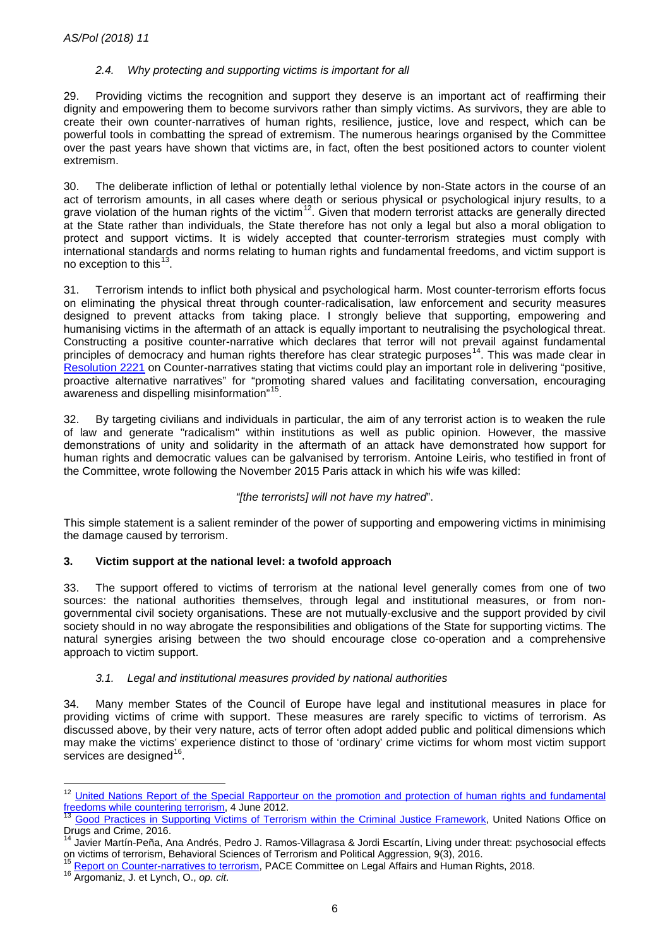# *2.4. Why protecting and supporting victims is important for all*

29. Providing victims the recognition and support they deserve is an important act of reaffirming their dignity and empowering them to become survivors rather than simply victims. As survivors, they are able to create their own counter-narratives of human rights, resilience, justice, love and respect, which can be powerful tools in combatting the spread of extremism. The numerous hearings organised by the Committee over the past years have shown that victims are, in fact, often the best positioned actors to counter violent extremism.

30. The deliberate infliction of lethal or potentially lethal violence by non-State actors in the course of an act of terrorism amounts, in all cases where death or serious physical or psychological injury results, to a grave violation of the human rights of the victim<sup>[12](#page-5-0)</sup>. Given that modern terrorist attacks are generally directed at the State rather than individuals, the State therefore has not only a legal but also a moral obligation to protect and support victims. It is widely accepted that counter-terrorism strategies must comply with international standards and norms relating to human rights and fundamental freedoms, and victim support is no exception to this $^{13}$  $^{13}$  $^{13}$ .

31. Terrorism intends to inflict both physical and psychological harm. Most counter-terrorism efforts focus on eliminating the physical threat through counter-radicalisation, law enforcement and security measures designed to prevent attacks from taking place. I strongly believe that supporting, empowering and humanising victims in the aftermath of an attack is equally important to neutralising the psychological threat. Constructing a positive counter-narrative which declares that terror will not prevail against fundamental principles of democracy and human rights therefore has clear strategic purposes<sup>[14](#page-5-2)</sup>. This was made clear in [Resolution 2221](http://assembly.coe.int/nw/xml/XRef/Xref-DocDetails-EN.asp?fileid=24810) on Counter-narratives stating that victims could play an important role in delivering "positive, proactive alternative narratives" for "promoting shared values and facilitating conversation, encouraging awareness and dispelling misinformation"[15.](#page-5-3)

By targeting civilians and individuals in particular, the aim of any terrorist action is to weaken the rule of law and generate "radicalism" within institutions as well as public opinion. However, the massive demonstrations of unity and solidarity in the aftermath of an attack have demonstrated how support for human rights and democratic values can be galvanised by terrorism. Antoine Leiris, who testified in front of the Committee, wrote following the November 2015 Paris attack in which his wife was killed:

#### *"[the terrorists] will not have my hatred*".

This simple statement is a salient reminder of the power of supporting and empowering victims in minimising the damage caused by terrorism.

#### **3. Victim support at the national level: a twofold approach**

33. The support offered to victims of terrorism at the national level generally comes from one of two sources: the national authorities themselves, through legal and institutional measures, or from nongovernmental civil society organisations. These are not mutually-exclusive and the support provided by civil society should in no way abrogate the responsibilities and obligations of the State for supporting victims. The natural synergies arising between the two should encourage close co-operation and a comprehensive approach to victim support.

#### *3.1. Legal and institutional measures provided by national authorities*

34. Many member States of the Council of Europe have legal and institutional measures in place for providing victims of crime with support. These measures are rarely specific to victims of terrorism. As discussed above, by their very nature, acts of terror often adopt added public and political dimensions which may make the victims' experience distinct to those of 'ordinary' crime victims for whom most victim support services are designed<sup>16</sup>.

**.** 

<span id="page-5-0"></span><sup>&</sup>lt;sup>12</sup> United Nations Report of the Special Rapporteur on the promotion and protection of human rights and fundamental [freedoms while countering terrorism,](https://www.ohchr.org/en/issues/terrorism/pages/srterrorismindex.aspx) 4 June 2012.<br><sup>13</sup> [Good Practices in Supporting Victims of Terrorism within the Criminal Justice Framework,](https://www.unodc.org/documents/terrorism/Publications/Good%20practices%20on%20victims/good_practices_victims_F.pdf) United Nations Office on

<span id="page-5-1"></span>Drugs and Crime, 2016.

<span id="page-5-2"></span><sup>&</sup>lt;sup>14</sup> Javier Martín-Peña, Ana Andrés, Pedro J. Ramos-Villagrasa & Jordi Escartín, Living under threat: psychosocial effects on victims of terrorism, Behavioral Sciences of Terrorism and Political Aggression, 9(3), 2016.<br><sup>15</sup> [Report on Counter-narratives to terrorism,](http://assembly.coe.int/nw/xml/XRef/Xref-DocDetails-EN.asp?FileID=24554) PACE Committee on Legal Affairs and Human Rights, 2018.<br><sup>16</sup> Argomaniz, J. et

<span id="page-5-3"></span>

<span id="page-5-4"></span>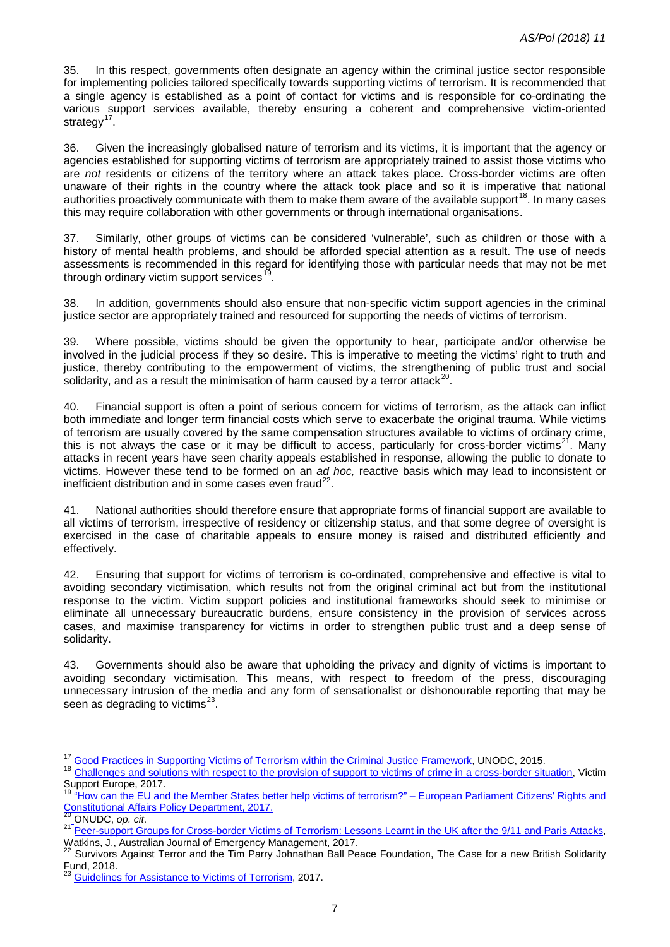35. In this respect, governments often designate an agency within the criminal justice sector responsible for implementing policies tailored specifically towards supporting victims of terrorism. It is recommended that a single agency is established as a point of contact for victims and is responsible for co-ordinating the various support services available, thereby ensuring a coherent and comprehensive victim-oriented strategy $17$ .

36. Given the increasingly globalised nature of terrorism and its victims, it is important that the agency or agencies established for supporting victims of terrorism are appropriately trained to assist those victims who are *not* residents or citizens of the territory where an attack takes place. Cross-border victims are often unaware of their rights in the country where the attack took place and so it is imperative that national authorities proactively communicate with them to make them aware of the available support<sup>18</sup>. In many cases this may require collaboration with other governments or through international organisations.

37. Similarly, other groups of victims can be considered 'vulnerable', such as children or those with a history of mental health problems, and should be afforded special attention as a result. The use of needs assessments is recommended in this regard for identifying those with particular needs that may not be met through ordinary victim support services<sup>[19](#page-6-2)</sup>.

38. In addition, governments should also ensure that non-specific victim support agencies in the criminal justice sector are appropriately trained and resourced for supporting the needs of victims of terrorism.

39. Where possible, victims should be given the opportunity to hear, participate and/or otherwise be involved in the judicial process if they so desire. This is imperative to meeting the victims' right to truth and justice, thereby contributing to the empowerment of victims, the strengthening of public trust and social solidarity, and as a result the minimisation of harm caused by a terror attack<sup>[20](#page-6-3)</sup>.

40. Financial support is often a point of serious concern for victims of terrorism, as the attack can inflict both immediate and longer term financial costs which serve to exacerbate the original trauma. While victims of terrorism are usually covered by the same compensation structures available to victims of ordinary crime, this is not always the case or it may be difficult to access, particularly for cross-border victims<sup>21</sup>. Many attacks in recent years have seen charity appeals established in response, allowing the public to donate to victims. However these tend to be formed on an *ad hoc,* reactive basis which may lead to inconsistent or inefficient distribution and in some cases even fraud $^{22}$ .

41. National authorities should therefore ensure that appropriate forms of financial support are available to all victims of terrorism, irrespective of residency or citizenship status, and that some degree of oversight is exercised in the case of charitable appeals to ensure money is raised and distributed efficiently and effectively.

42. Ensuring that support for victims of terrorism is co-ordinated, comprehensive and effective is vital to avoiding secondary victimisation, which results not from the original criminal act but from the institutional response to the victim. Victim support policies and institutional frameworks should seek to minimise or eliminate all unnecessary bureaucratic burdens, ensure consistency in the provision of services across cases, and maximise transparency for victims in order to strengthen public trust and a deep sense of solidarity.

43. Governments should also be aware that upholding the privacy and dignity of victims is important to avoiding secondary victimisation. This means, with respect to freedom of the press, discouraging unnecessary intrusion of the media and any form of sensationalist or dishonourable reporting that may be seen as degrading to victims<sup>[23](#page-6-6)</sup>.

<span id="page-6-0"></span><sup>&</sup>lt;sup>17</sup> Good Practices in Supporting Victims of Terrorism within the Criminal Justice Framework, UNODC, 2015.

<span id="page-6-1"></span><sup>&</sup>lt;sup>18</sup> [Challenges and solutions with respect to the provision of support to victims of crime in a cross-border situation,](https://victimsupport.eu/activeapp/wp-content/uploads/2017/02/VSE-Cross-border-Victimisation-Report.pdf) Victim Support Europe, 2017.

<span id="page-6-2"></span><sup>&</sup>lt;sup>19</sup> ["How can the EU and the Member States better help victims of terrorism?" –](http://www.europarl.europa.eu/RegData/etudes/STUD/2017/596805/IPOL_STU(2017)596805_EN.pdf) European Parliament Citizens' Rights and Constitutional Affairs Policy Department, 2017.<br><sup>20</sup> ONUDC, op. cit.

<span id="page-6-4"></span><span id="page-6-3"></span><sup>21</sup> [Peer-support Groups for Cross-border Victims of Terrorism: Lessons Learnt in the UK after the 9/11 and Paris Attacks,](https://ajem.infoservices.com.au/items/AJEM-32-03-18)<br>Watkins, J., Australian Journal of Emergency Management, 2017.

<span id="page-6-5"></span><sup>22</sup> Survivors Against Terror and the Tim Parry Johnathan Ball Peace Foundation, The Case for a new British Solidarity Fund, 2018.

<span id="page-6-6"></span><sup>23</sup> [Guidelines for Assistance to Victims of Terrorism,](https://www.gouvernement.fr/sites/default/files/contenu/piece-jointe/2017/03/guidelines_for_assistance_to_victims_of_terrorism.pdf) 2017.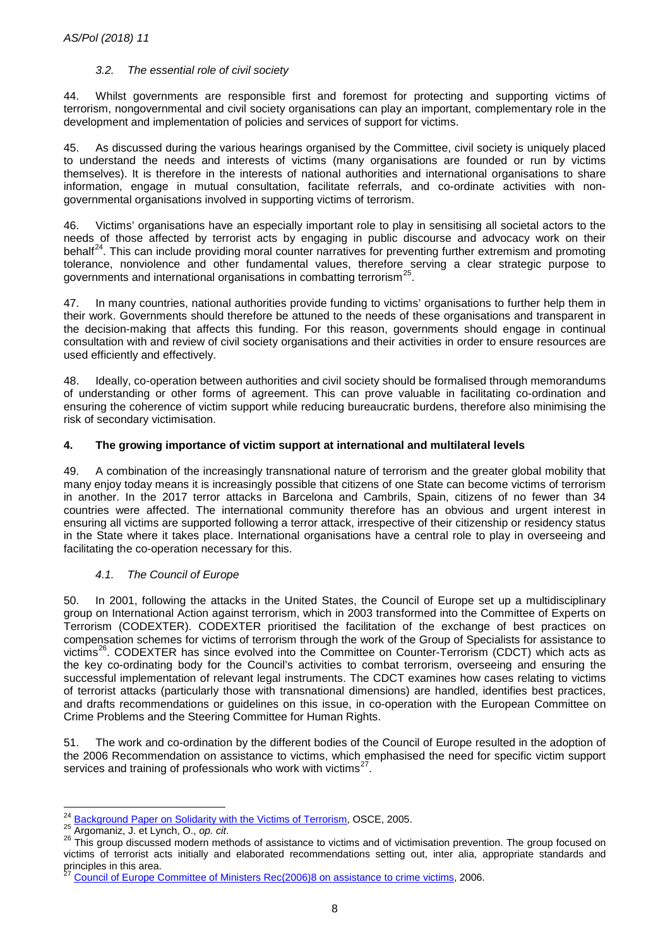#### *3.2. The essential role of civil society*

44. Whilst governments are responsible first and foremost for protecting and supporting victims of terrorism, nongovernmental and civil society organisations can play an important, complementary role in the development and implementation of policies and services of support for victims.

45. As discussed during the various hearings organised by the Committee, civil society is uniquely placed to understand the needs and interests of victims (many organisations are founded or run by victims themselves). It is therefore in the interests of national authorities and international organisations to share information, engage in mutual consultation, facilitate referrals, and co-ordinate activities with nongovernmental organisations involved in supporting victims of terrorism.

46. Victims' organisations have an especially important role to play in sensitising all societal actors to the needs of those affected by terrorist acts by engaging in public discourse and advocacy work on their behalf<sup>24</sup>. This can include providing moral counter narratives for preventing further extremism and promoting tolerance, nonviolence and other fundamental values, therefore serving a clear strategic purpose to governments and international organisations in combatting terrorism<sup>25</sup>.

47. In many countries, national authorities provide funding to victims' organisations to further help them in their work. Governments should therefore be attuned to the needs of these organisations and transparent in the decision-making that affects this funding. For this reason, governments should engage in continual consultation with and review of civil society organisations and their activities in order to ensure resources are used efficiently and effectively.

48. Ideally, co-operation between authorities and civil society should be formalised through memorandums of understanding or other forms of agreement. This can prove valuable in facilitating co-ordination and ensuring the coherence of victim support while reducing bureaucratic burdens, therefore also minimising the risk of secondary victimisation.

#### **4. The growing importance of victim support at international and multilateral levels**

49. A combination of the increasingly transnational nature of terrorism and the greater global mobility that many enjoy today means it is increasingly possible that citizens of one State can become victims of terrorism in another. In the 2017 terror attacks in Barcelona and Cambrils, Spain, citizens of no fewer than 34 countries were affected. The international community therefore has an obvious and urgent interest in ensuring all victims are supported following a terror attack, irrespective of their citizenship or residency status in the State where it takes place. International organisations have a central role to play in overseeing and facilitating the co-operation necessary for this.

#### *4.1. The Council of Europe*

50. In 2001, following the attacks in the United States, the Council of Europe set up a multidisciplinary group on International Action against terrorism, which in 2003 transformed into the Committee of Experts on Terrorism (CODEXTER). CODEXTER prioritised the facilitation of the exchange of best practices on compensation schemes for victims of terrorism through the work of the Group of Specialists for assistance to victims<sup>26</sup>. CODEXTER has since evolved into the Committee on Counter-Terrorism (CDCT) which acts as the key co-ordinating body for the Council's activities to combat terrorism, overseeing and ensuring the successful implementation of relevant legal instruments. The CDCT examines how cases relating to victims of terrorist attacks (particularly those with transnational dimensions) are handled, identifies best practices, and drafts recommendations or guidelines on this issue, in co-operation with the European Committee on Crime Problems and the Steering Committee for Human Rights.

51. The work and co-ordination by the different bodies of the Council of Europe resulted in the adoption of the 2006 Recommendation on assistance to victims, which emphasised the need for specific victim support services and training of professionals who work with victims<sup>27</sup>.

<span id="page-7-0"></span><sup>&</sup>lt;sup>24</sup> Background Paper on Solidarity with the Victims of Terrorism, OSCE, 2005.

<span id="page-7-2"></span><span id="page-7-1"></span><sup>&</sup>lt;sup>25</sup> Argomaniz, J. et Lynch, O., op. cit.<br><sup>25</sup> Argomaniz, J. et Lynch, O., op. cit.<br><sup>26</sup> This group discussed modern methods of assistance to victims and of victimisation prevention. The group focused on victims of terrorist acts initially and elaborated recommendations setting out, inter alia, appropriate standards and principles in this area.

<span id="page-7-3"></span><sup>27</sup> Council of Europe Committee of Ministers [Rec\(2006\)8 on assistance to crime victims,](https://victimsupport.eu/activeapp/wp-content/uploads/2012/09/Recommendation-Rec20068-of-the-Committee-of-Ministries_Council-of-Europe11.pdf) 2006.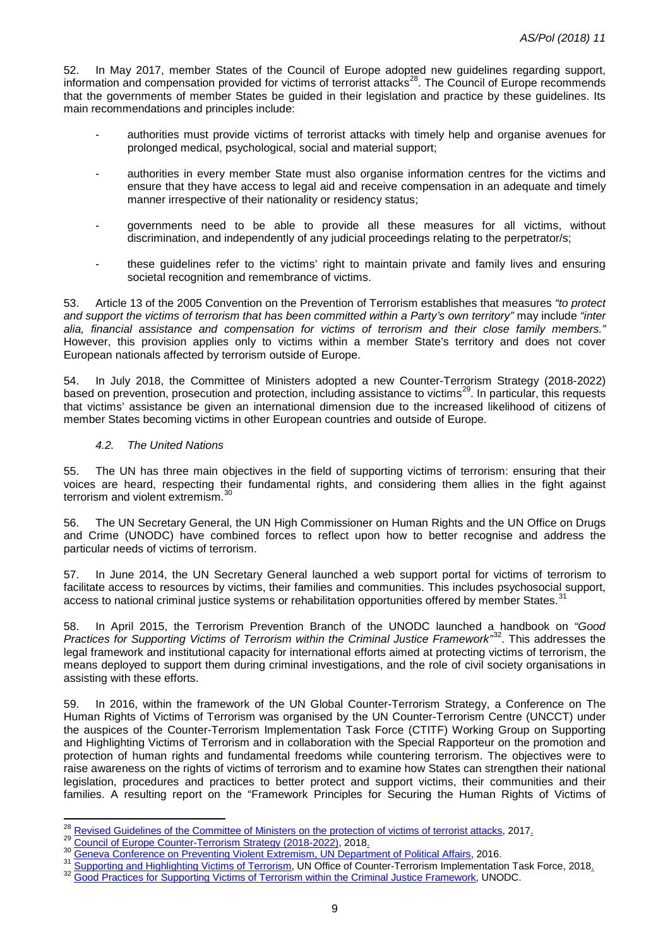52. In May 2017, member States of the Council of Europe adopted new guidelines regarding support, information and compensation provided for victims of terrorist attacks<sup>28</sup>. The Council of Europe recommends that the governments of member States be guided in their legislation and practice by these guidelines. Its main recommendations and principles include:

- authorities must provide victims of terrorist attacks with timely help and organise avenues for prolonged medical, psychological, social and material support;
- authorities in every member State must also organise information centres for the victims and ensure that they have access to legal aid and receive compensation in an adequate and timely manner irrespective of their nationality or residency status;
- governments need to be able to provide all these measures for all victims, without discrimination, and independently of any judicial proceedings relating to the perpetrator/s;
- these guidelines refer to the victims' right to maintain private and family lives and ensuring societal recognition and remembrance of victims.

53. Article 13 of the 2005 Convention on the Prevention of Terrorism establishes that measures *"to protect and support the victims of terrorism that has been committed within a Party's own territory"* may include *"inter alia, financial assistance and compensation for victims of terrorism and their close family members."* However, this provision applies only to victims within a member State's territory and does not cover European nationals affected by terrorism outside of Europe.

54. In July 2018, the Committee of Ministers adopted a new Counter-Terrorism Strategy (2018-2022) based on prevention, prosecution and protection, including assistance to victims<sup>[29](#page-8-1)</sup>. In particular, this requests that victims' assistance be given an international dimension due to the increased likelihood of citizens of member States becoming victims in other European countries and outside of Europe.

#### *4.2. The United Nations*

55. The UN has three main objectives in the field of supporting victims of terrorism: ensuring that their voices are heard, respecting their fundamental rights, and considering them allies in the fight against terrorism and violent extremism.<sup>[30](#page-8-2)</sup>

56. The UN Secretary General, the UN High Commissioner on Human Rights and the UN Office on Drugs and Crime (UNODC) have combined forces to reflect upon how to better recognise and address the particular needs of victims of terrorism.

57. In June 2014, the UN Secretary General launched a web support portal for victims of terrorism to facilitate access to resources by victims, their families and communities. This includes psychosocial support, access to national criminal justice systems or rehabilitation opportunities offered by member States.<sup>3</sup>

58. In April 2015, the Terrorism Prevention Branch of the UNODC launched a handbook on *"Good Practices for Supporting Victims of Terrorism within the Criminal Justice Framework"*[32.](#page-8-4) This addresses the legal framework and institutional capacity for international efforts aimed at protecting victims of terrorism, the means deployed to support them during criminal investigations, and the role of civil society organisations in assisting with these efforts.

59. In 2016, within the framework of the UN Global Counter-Terrorism Strategy, a Conference on The Human Rights of Victims of Terrorism was organised by the UN Counter-Terrorism Centre (UNCCT) under the auspices of the Counter-Terrorism Implementation Task Force (CTITF) Working Group on Supporting and Highlighting Victims of Terrorism and in collaboration with the Special Rapporteur on the promotion and protection of human rights and fundamental freedoms while countering terrorism. The objectives were to raise awareness on the rights of victims of terrorism and to examine how States can strengthen their national legislation, procedures and practices to better protect and support victims, their communities and their families. A resulting report on the "Framework Principles for Securing the Human Rights of Victims of

<span id="page-8-0"></span><sup>28</sup> Revised Guidelines of the Committee of Ministers on the protection of victims of terrorist attacks, 2017.

<span id="page-8-3"></span><span id="page-8-2"></span>

<span id="page-8-1"></span><sup>&</sup>lt;sup>29</sup> [Council of Europe Counter-Terrorism Strategy \(2018-2022\),](https://search.coe.int/cm/Pages/result_details.aspx?ObjectId=09000016808afc96) 2018.<br><sup>30</sup> [Geneva Conference on Preventing Violent Extremism, UN Department of Political Affairs,](https://www.un.org/undpa/en/speeches-statements/07042016/Preventing-Violent-Extremism) 2016.<br><sup>31</sup> [Supporting and Highlighting Victims of Terrorism,](https://www.un.org/counterterrorism/ctitf/en/supporting-and-highlighting-victims-terrorism)

<span id="page-8-4"></span>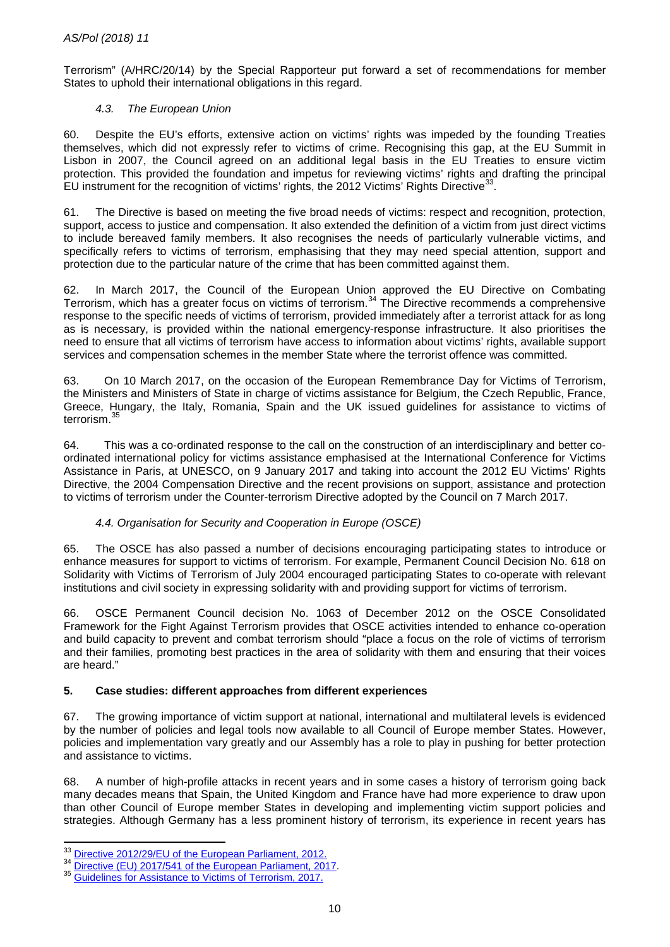Terrorism" (A/HRC/20/14) by the Special Rapporteur put forward a set of recommendations for member States to uphold their international obligations in this regard.

## *4.3. The European Union*

60. Despite the EU's efforts, extensive action on victims' rights was impeded by the founding Treaties themselves, which did not expressly refer to victims of crime. Recognising this gap, at the EU Summit in Lisbon in 2007, the Council agreed on an additional legal basis in the EU Treaties to ensure victim protection. This provided the foundation and impetus for reviewing victims' rights and drafting the principal EU instrument for the recognition of victims' rights, the 2012 Victims' Rights Directive<sup>37</sup>

61. The Directive is based on meeting the five broad needs of victims: respect and recognition, protection, support, access to justice and compensation. It also extended the definition of a victim from just direct victims to include bereaved family members. It also recognises the needs of particularly vulnerable victims, and specifically refers to victims of terrorism, emphasising that they may need special attention, support and protection due to the particular nature of the crime that has been committed against them.

62. In March 2017, the Council of the European Union approved the EU Directive on Combating Terrorism, which has a greater focus on victims of terrorism.<sup>[34](#page-9-1)</sup> The Directive recommends a comprehensive response to the specific needs of victims of terrorism, provided immediately after a terrorist attack for as long as is necessary, is provided within the national emergency-response infrastructure. It also prioritises the need to ensure that all victims of terrorism have access to information about victims' rights, available support services and compensation schemes in the member State where the terrorist offence was committed.

63. On 10 March 2017, on the occasion of the European Remembrance Day for Victims of Terrorism, the Ministers and Ministers of State in charge of victims assistance for Belgium, the Czech Republic, France, Greece, Hungary, the Italy, Romania, Spain and the UK issued guidelines for assistance to victims of terrorism.<sup>3</sup>

64. This was a co-ordinated response to the call on the construction of an interdisciplinary and better coordinated international policy for victims assistance emphasised at the International Conference for Victims Assistance in Paris, at UNESCO, on 9 January 2017 and taking into account the 2012 EU Victims' Rights Directive, the 2004 Compensation Directive and the recent provisions on support, assistance and protection to victims of terrorism under the Counter-terrorism Directive adopted by the Council on 7 March 2017.

#### *4.4. Organisation for Security and Cooperation in Europe (OSCE)*

65. The OSCE has also passed a number of decisions encouraging participating states to introduce or enhance measures for support to victims of terrorism. For example, Permanent Council Decision No. 618 on Solidarity with Victims of Terrorism of July 2004 encouraged participating States to co-operate with relevant institutions and civil society in expressing solidarity with and providing support for victims of terrorism.

66. OSCE Permanent Council decision No. 1063 of December 2012 on the OSCE Consolidated Framework for the Fight Against Terrorism provides that OSCE activities intended to enhance co-operation and build capacity to prevent and combat terrorism should "place a focus on the role of victims of terrorism and their families, promoting best practices in the area of solidarity with them and ensuring that their voices are heard."

# **5. Case studies: different approaches from different experiences**

67. The growing importance of victim support at national, international and multilateral levels is evidenced by the number of policies and legal tools now available to all Council of Europe member States. However, policies and implementation vary greatly and our Assembly has a role to play in pushing for better protection and assistance to victims.

68. A number of high-profile attacks in recent years and in some cases a history of terrorism going back many decades means that Spain, the United Kingdom and France have had more experience to draw upon than other Council of Europe member States in developing and implementing victim support policies and strategies. Although Germany has a less prominent history of terrorism, its experience in recent years has

<span id="page-9-0"></span><sup>&</sup>lt;sup>33</sup> Directive 2012/29/EU of the European Parliament, 2012.

<span id="page-9-2"></span><span id="page-9-1"></span><sup>&</sup>lt;sup>34</sup> [Directive \(EU\) 2017/541 of the European Parliament, 2017.](https://eur-lex.europa.eu/legal-content/EN/TXT/?uri=CELEX%3A32017L0541)<br><sup>35</sup> Guidelines fo<u>r Assistance to Victims of Terrorism, 2017.</u>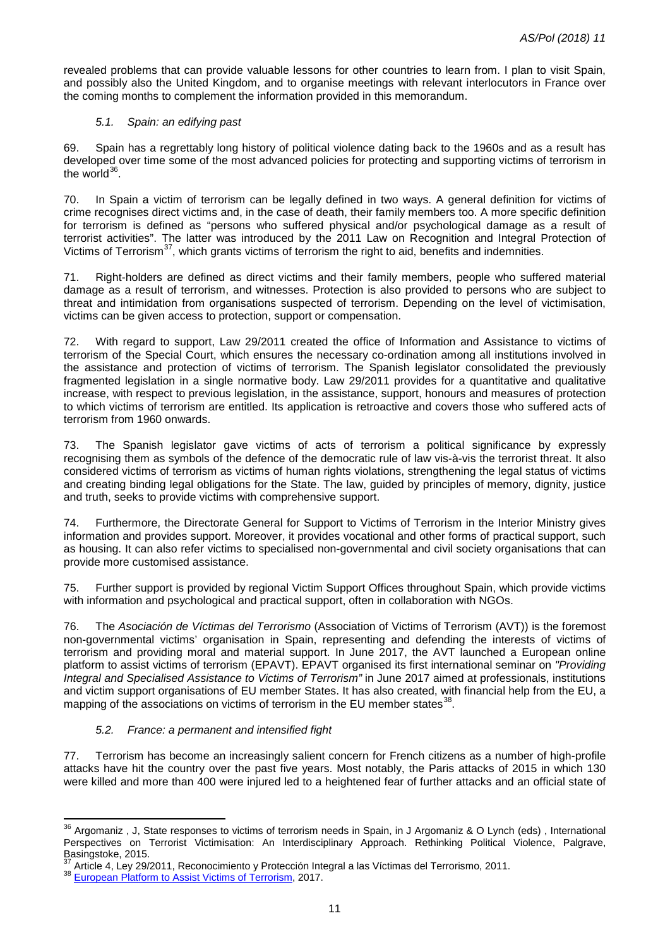revealed problems that can provide valuable lessons for other countries to learn from. I plan to visit Spain, and possibly also the United Kingdom, and to organise meetings with relevant interlocutors in France over the coming months to complement the information provided in this memorandum.

#### *5.1. Spain: an edifying past*

69. Spain has a regrettably long history of political violence dating back to the 1960s and as a result has developed over time some of the most advanced policies for protecting and supporting victims of terrorism in the world $36$ .

70. In Spain a victim of terrorism can be legally defined in two ways. A general definition for victims of crime recognises direct victims and, in the case of death, their family members too. A more specific definition for terrorism is defined as "persons who suffered physical and/or psychological damage as a result of terrorist activities". The latter was introduced by the 2011 Law on Recognition and Integral Protection of Victims of Terrorism<sup>[37](#page-10-1)</sup>, which grants victims of terrorism the right to aid, benefits and indemnities.

71. Right-holders are defined as direct victims and their family members, people who suffered material damage as a result of terrorism, and witnesses. Protection is also provided to persons who are subject to threat and intimidation from organisations suspected of terrorism. Depending on the level of victimisation, victims can be given access to protection, support or compensation.

72. With regard to support, Law 29/2011 created the office of Information and Assistance to victims of terrorism of the Special Court, which ensures the necessary co-ordination among all institutions involved in the assistance and protection of victims of terrorism. The Spanish legislator consolidated the previously fragmented legislation in a single normative body. Law 29/2011 provides for a quantitative and qualitative increase, with respect to previous legislation, in the assistance, support, honours and measures of protection to which victims of terrorism are entitled. Its application is retroactive and covers those who suffered acts of terrorism from 1960 onwards.

73. The Spanish legislator gave victims of acts of terrorism a political significance by expressly recognising them as symbols of the defence of the democratic rule of law vis-à-vis the terrorist threat. It also considered victims of terrorism as victims of human rights violations, strengthening the legal status of victims and creating binding legal obligations for the State. The law, guided by principles of memory, dignity, justice and truth, seeks to provide victims with comprehensive support.

74. Furthermore, the Directorate General for Support to Victims of Terrorism in the Interior Ministry gives information and provides support. Moreover, it provides vocational and other forms of practical support, such as housing. It can also refer victims to specialised non-governmental and civil society organisations that can provide more customised assistance.

75. Further support is provided by regional Victim Support Offices throughout Spain, which provide victims with information and psychological and practical support, often in collaboration with NGOs.

76. The *Asociación de Víctimas del Terrorismo* (Association of Victims of Terrorism (AVT)) is the foremost non-governmental victims' organisation in Spain, representing and defending the interests of victims of terrorism and providing moral and material support. In June 2017, the AVT launched a European online platform to assist victims of terrorism (EPAVT). EPAVT organised its first international seminar on *"Providing Integral and Specialised Assistance to Victims of Terrorism"* in June 2017 aimed at professionals, institutions and victim support organisations of EU member States. It has also created, with financial help from the EU, a mapping of the associations on victims of terrorism in the EU member states<sup>38</sup>.

#### *5.2. France: a permanent and intensified fight*

77. Terrorism has become an increasingly salient concern for French citizens as a number of high-profile attacks have hit the country over the past five years. Most notably, the Paris attacks of 2015 in which 130 were killed and more than 400 were injured led to a heightened fear of further attacks and an official state of

**.** 

<span id="page-10-0"></span><sup>&</sup>lt;sup>36</sup> Argomaniz, J, State responses to victims of terrorism needs in Spain, in J Argomaniz & O Lynch (eds), International Perspectives on Terrorist Victimisation: An Interdisciplinary Approach. Rethinking Political Violence, Palgrave, Basingstoke, 2015.

<span id="page-10-2"></span><span id="page-10-1"></span><sup>&</sup>lt;sup>37</sup> Article 4, Ley 29/2011, Reconocimiento y Protección Integral a las Víctimas del Terrorismo, 2011.<br><sup>38</sup> European Pl<u>atform to Assist Victims of Terrorism</u>, 2017.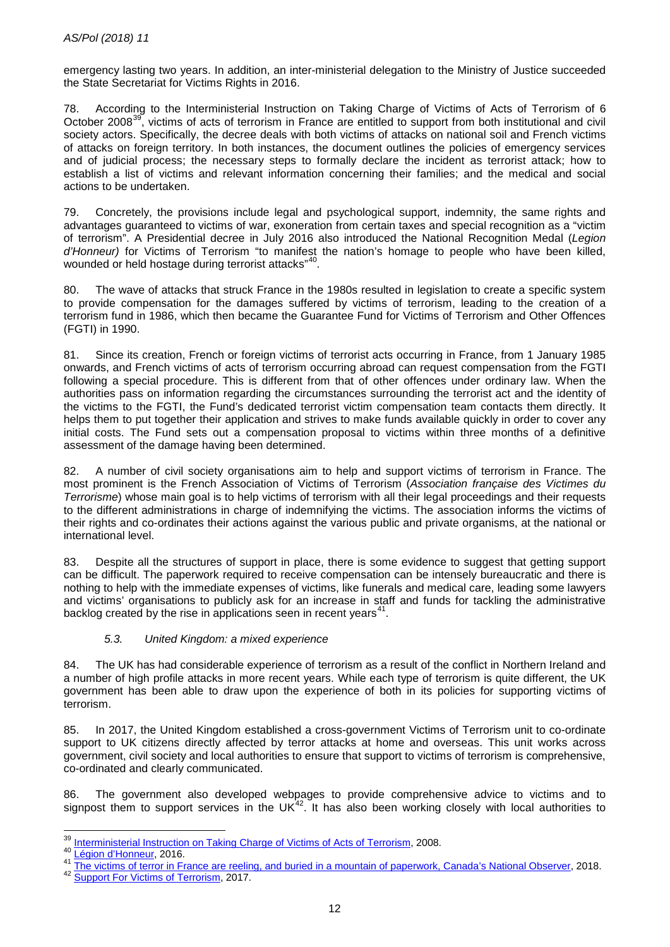emergency lasting two years. In addition, an inter-ministerial delegation to the Ministry of Justice succeeded the State Secretariat for Victims Rights in 2016.

78. According to the Interministerial Instruction on Taking Charge of Victims of Acts of Terrorism of 6 October 2008<sup>39</sup>, victims of acts of terrorism in France are entitled to support from both institutional and civil society actors. Specifically, the decree deals with both victims of attacks on national soil and French victims of attacks on foreign territory. In both instances, the document outlines the policies of emergency services and of judicial process; the necessary steps to formally declare the incident as terrorist attack; how to establish a list of victims and relevant information concerning their families; and the medical and social actions to be undertaken.

79. Concretely, the provisions include legal and psychological support, indemnity, the same rights and advantages guaranteed to victims of war, exoneration from certain taxes and special recognition as a "victim of terrorism". A Presidential decree in July 2016 also introduced the National Recognition Medal (*Legion d'Honneur)* for Victims of Terrorism "to manifest the nation's homage to people who have been killed, wounded or held hostage during terrorist attacks"<sup>40</sup>.

80. The wave of attacks that struck France in the 1980s resulted in legislation to create a specific system to provide compensation for the damages suffered by victims of terrorism, leading to the creation of a terrorism fund in 1986, which then became the Guarantee Fund for Victims of Terrorism and Other Offences (FGTI) in 1990.

81. Since its creation, French or foreign victims of terrorist acts occurring in France, from 1 January 1985 onwards, and French victims of acts of terrorism occurring abroad can request compensation from the FGTI following a special procedure. This is different from that of other offences under ordinary law. When the authorities pass on information regarding the circumstances surrounding the terrorist act and the identity of the victims to the FGTI, the Fund's dedicated terrorist victim compensation team contacts them directly. It helps them to put together their application and strives to make funds available quickly in order to cover any initial costs. The Fund sets out a compensation proposal to victims within three months of a definitive assessment of the damage having been determined.

82. A number of civil society organisations aim to help and support victims of terrorism in France. The most prominent is the French Association of Victims of Terrorism (*Association française des Victimes du Terrorisme*) whose main goal is to help victims of terrorism with all their legal proceedings and their requests to the different administrations in charge of indemnifying the victims. The association informs the victims of their rights and co-ordinates their actions against the various public and private organisms, at the national or international level.

83. Despite all the structures of support in place, there is some evidence to suggest that getting support can be difficult. The paperwork required to receive compensation can be intensely bureaucratic and there is nothing to help with the immediate expenses of victims, like funerals and medical care, leading some lawyers and victims' organisations to publicly ask for an increase in staff and funds for tackling the administrative backlog created by the rise in applications seen in recent years<sup>41</sup>.

#### *5.3. United Kingdom: a mixed experience*

84. The UK has had considerable experience of terrorism as a result of the conflict in Northern Ireland and a number of high profile attacks in more recent years. While each type of terrorism is quite different, the UK government has been able to draw upon the experience of both in its policies for supporting victims of terrorism.

85. In 2017, the United Kingdom established a cross-government Victims of Terrorism unit to co-ordinate support to UK citizens directly affected by terror attacks at home and overseas. This unit works across government, civil society and local authorities to ensure that support to victims of terrorism is comprehensive, co-ordinated and clearly communicated.

86. The government also developed webpages to provide comprehensive advice to victims and to signpost them to support services in the  $UK<sup>42</sup>$ . It has also been working closely with local authorities to

<span id="page-11-0"></span><sup>&</sup>lt;sup>39</sup> Interministerial Instruction on Taking Charge of Victims of Acts of Terrorism, 2008.

<span id="page-11-2"></span><span id="page-11-1"></span><sup>40&</sup>lt;br>
<u>Légion d'Honneur</u>, 2016.<br>
<sup>41</sup> [The victims of terror in France are reeling, and buried in a mountain of paperwork, Canada's National Observer,](https://www.nationalobserver.com/2018/02/08/news/victims-terror-france-are-reeling-and-buried-mountain-paperwork) 2018.<br>
<sup>42</sup> [Support For Victims of Terrorism,](https://victimsofterrorism.campaign.gov.uk/) 2017.

<span id="page-11-3"></span>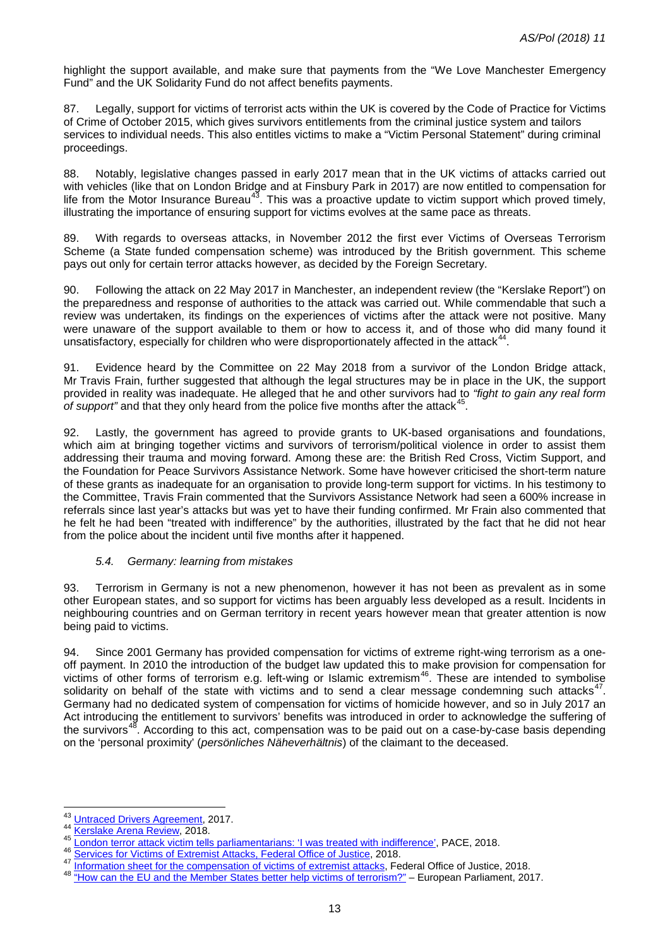highlight the support available, and make sure that payments from the "We Love Manchester Emergency Fund" and the UK Solidarity Fund do not affect benefits payments.

87. Legally, support for victims of terrorist acts within the UK is covered by the Code of Practice for Victims of Crime of October 2015, which gives survivors entitlements from the criminal justice system and tailors services to individual needs. This also entitles victims to make a "Victim Personal Statement" during criminal proceedings.

88. Notably, legislative changes passed in early 2017 mean that in the UK victims of attacks carried out with vehicles (like that on London Bridge and at Finsbury Park in 2017) are now entitled to compensation for life from the Motor Insurance Bureau<sup>43</sup>. This was a proactive update to victim support which proved timely, illustrating the importance of ensuring support for victims evolves at the same pace as threats.

89. With regards to overseas attacks, in November 2012 the first ever Victims of Overseas Terrorism Scheme (a State funded compensation scheme) was introduced by the British government. This scheme pays out only for certain terror attacks however, as decided by the Foreign Secretary.

90. Following the attack on 22 May 2017 in Manchester, an independent review (the "Kerslake Report") on the preparedness and response of authorities to the attack was carried out. While commendable that such a review was undertaken, its findings on the experiences of victims after the attack were not positive. Many were unaware of the support available to them or how to access it, and of those who did many found it unsatisfactory, especially for children who were disproportionately affected in the attack<sup>[44](#page-12-1)</sup>

91. Evidence heard by the Committee on 22 May 2018 from a survivor of the London Bridge attack, Mr Travis Frain, further suggested that although the legal structures may be in place in the UK, the support provided in reality was inadequate. He alleged that he and other survivors had to *"fight to gain any real form*  of support" and that they only heard from the police five months after the attack<sup>[45](#page-12-2)</sup>.

92. Lastly, the government has agreed to provide grants to UK-based organisations and foundations, which aim at bringing together victims and survivors of terrorism/political violence in order to assist them addressing their trauma and moving forward. Among these are: the British Red Cross, Victim Support, and the Foundation for Peace Survivors Assistance Network. Some have however criticised the short-term nature of these grants as inadequate for an organisation to provide long-term support for victims. In his testimony to the Committee, Travis Frain commented that the Survivors Assistance Network had seen a 600% increase in referrals since last year's attacks but was yet to have their funding confirmed. Mr Frain also commented that he felt he had been "treated with indifference" by the authorities, illustrated by the fact that he did not hear from the police about the incident until five months after it happened.

#### *5.4. Germany: learning from mistakes*

93. Terrorism in Germany is not a new phenomenon, however it has not been as prevalent as in some other European states, and so support for victims has been arguably less developed as a result. Incidents in neighbouring countries and on German territory in recent years however mean that greater attention is now being paid to victims.

94. Since 2001 Germany has provided compensation for victims of extreme right-wing terrorism as a oneoff payment. In 2010 the introduction of the budget law updated this to make provision for compensation for victims of other forms of terrorism e.g. left-wing or Islamic extremism<sup>[46](#page-12-3)</sup>. These are intended to symbolise solidarity on behalf of the state with victims and to send a clear message condemning such attacks $47$ . Germany had no dedicated system of compensation for victims of homicide however, and so in July 2017 an Act introducing the entitlement to survivors' benefits was introduced in order to acknowledge the suffering of the survivors<sup>48</sup>. According to this act, compensation was to be paid out on a case-by-case basis depending on the 'personal proximity' (*persönliches Näheverhältnis*) of the claimant to the deceased.

<span id="page-12-0"></span><sup>&</sup>lt;sup>43</sup> Untraced Drivers Agreement, 2017.

<span id="page-12-2"></span>

<span id="page-12-3"></span>

<span id="page-12-5"></span><span id="page-12-4"></span>

<span id="page-12-1"></span><sup>&</sup>lt;sup>44</sup> [Kerslake Arena Review,](https://www.kerslakearenareview.co.uk/) 2018.<br>
<sup>45</sup> <u>[London terror attack victim tells parliamentarians: 'I was treated with indifference',](http://assembly.coe.int/nw/xml/News/News-View-EN.asp?newsid=7077&lang=2&cat=137) PACE, 2018.<br>
<sup>46</sup> [Services for Victims of Extremist Attacks, Federal Office of Justice,](https://www.bundesjustizamt.de/DE/Themen/Buergerdienste/Opferhilfe/extremistisch/Haerteleistung_node.html) 2018.<br></u>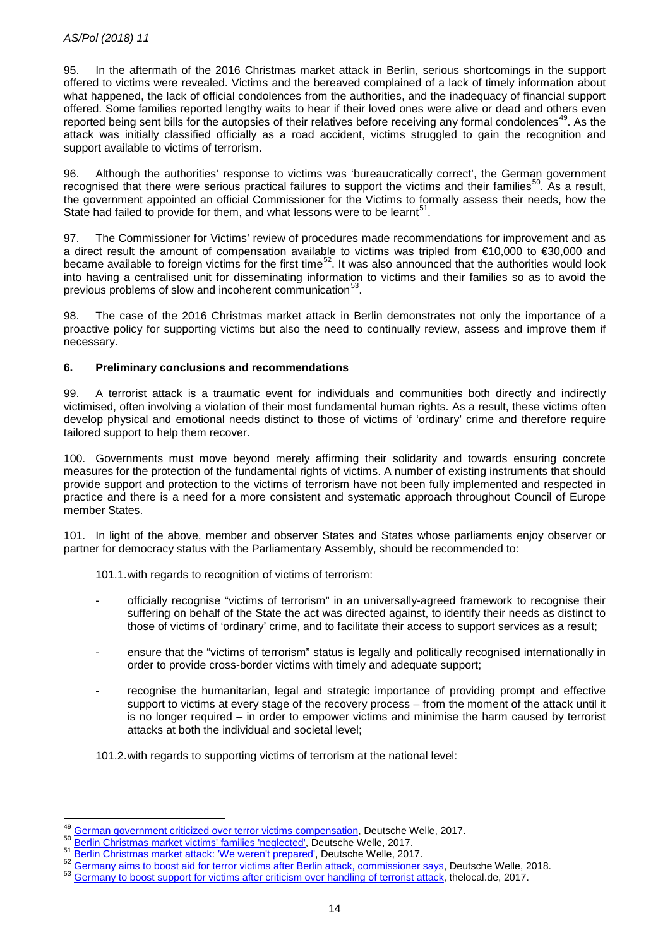95. In the aftermath of the 2016 Christmas market attack in Berlin, serious shortcomings in the support offered to victims were revealed. Victims and the bereaved complained of a lack of timely information about what happened, the lack of official condolences from the authorities, and the inadequacy of financial support offered. Some families reported lengthy waits to hear if their loved ones were alive or dead and others even reported being sent bills for the autopsies of their relatives before receiving any formal condolences<sup>[49](#page-13-0)</sup>. As the attack was initially classified officially as a road accident, victims struggled to gain the recognition and support available to victims of terrorism.

96. Although the authorities' response to victims was 'bureaucratically correct', the German government recognised that there were serious practical failures to support the victims and their families<sup>[50](#page-13-1)</sup>. As a result, the government appointed an official Commissioner for the Victims to formally assess their needs, how the State had failed to provide for them, and what lessons were to be learnt<sup>[51](#page-13-2)</sup>.

97. The Commissioner for Victims' review of procedures made recommendations for improvement and as a direct result the amount of compensation available to victims was tripled from €10,000 to €30,000 and became available to foreign victims for the first time<sup>52</sup>. It was also announced that the authorities would look into having a centralised unit for disseminating information to victims and their families so as to avoid the previous problems of slow and incoherent communication<sup>[53](#page-13-4)</sup>.

98. The case of the 2016 Christmas market attack in Berlin demonstrates not only the importance of a proactive policy for supporting victims but also the need to continually review, assess and improve them if necessary.

# **6. Preliminary conclusions and recommendations**

99. A terrorist attack is a traumatic event for individuals and communities both directly and indirectly victimised, often involving a violation of their most fundamental human rights. As a result, these victims often develop physical and emotional needs distinct to those of victims of 'ordinary' crime and therefore require tailored support to help them recover.

100. Governments must move beyond merely affirming their solidarity and towards ensuring concrete measures for the protection of the fundamental rights of victims. A number of existing instruments that should provide support and protection to the victims of terrorism have not been fully implemented and respected in practice and there is a need for a more consistent and systematic approach throughout Council of Europe member States.

101. In light of the above, member and observer States and States whose parliaments enjoy observer or partner for democracy status with the Parliamentary Assembly, should be recommended to:

101.1.with regards to recognition of victims of terrorism:

- officially recognise "victims of terrorism" in an universally-agreed framework to recognise their suffering on behalf of the State the act was directed against, to identify their needs as distinct to those of victims of 'ordinary' crime, and to facilitate their access to support services as a result;
- ensure that the "victims of terrorism" status is legally and politically recognised internationally in order to provide cross-border victims with timely and adequate support;
- recognise the humanitarian, legal and strategic importance of providing prompt and effective support to victims at every stage of the recovery process – from the moment of the attack until it is no longer required – in order to empower victims and minimise the harm caused by terrorist attacks at both the individual and societal level;
- 101.2.with regards to supporting victims of terrorism at the national level:

<sup>49</sup> 

<span id="page-13-3"></span><span id="page-13-2"></span>

<span id="page-13-1"></span><span id="page-13-0"></span><sup>&</sup>lt;sup>49</sup> [German government criticized over terror victims compensation,](https://www.dw.com/en/german-government-criticized-over-terror-victims-compensation/a-41778143) Deutsche Welle, 2017.<br>
<u>50 Berlin Christmas market victims' families 'neglected'</u>, Deutsche Welle, 2017.<br>
<sup>51</sup> <u>Berlin Christmas market attack: 'We weren'</u>

<span id="page-13-4"></span>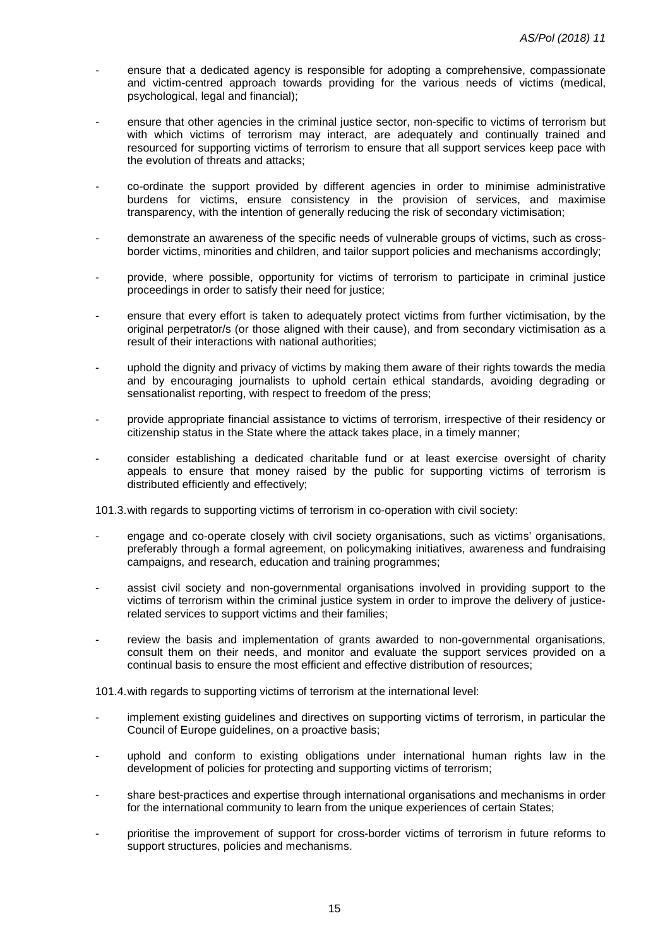- ensure that a dedicated agency is responsible for adopting a comprehensive, compassionate and victim-centred approach towards providing for the various needs of victims (medical, psychological, legal and financial);
- ensure that other agencies in the criminal justice sector, non-specific to victims of terrorism but with which victims of terrorism may interact, are adequately and continually trained and resourced for supporting victims of terrorism to ensure that all support services keep pace with the evolution of threats and attacks;
- co-ordinate the support provided by different agencies in order to minimise administrative burdens for victims, ensure consistency in the provision of services, and maximise transparency, with the intention of generally reducing the risk of secondary victimisation;
- demonstrate an awareness of the specific needs of vulnerable groups of victims, such as crossborder victims, minorities and children, and tailor support policies and mechanisms accordingly;
- provide, where possible, opportunity for victims of terrorism to participate in criminal justice proceedings in order to satisfy their need for justice;
- ensure that every effort is taken to adequately protect victims from further victimisation, by the original perpetrator/s (or those aligned with their cause), and from secondary victimisation as a result of their interactions with national authorities;
- uphold the dignity and privacy of victims by making them aware of their rights towards the media and by encouraging journalists to uphold certain ethical standards, avoiding degrading or sensationalist reporting, with respect to freedom of the press;
- provide appropriate financial assistance to victims of terrorism, irrespective of their residency or citizenship status in the State where the attack takes place, in a timely manner;
- consider establishing a dedicated charitable fund or at least exercise oversight of charity appeals to ensure that money raised by the public for supporting victims of terrorism is distributed efficiently and effectively;

101.3.with regards to supporting victims of terrorism in co-operation with civil society:

- engage and co-operate closely with civil society organisations, such as victims' organisations, preferably through a formal agreement, on policymaking initiatives, awareness and fundraising campaigns, and research, education and training programmes;
- assist civil society and non-governmental organisations involved in providing support to the victims of terrorism within the criminal justice system in order to improve the delivery of justicerelated services to support victims and their families;
- review the basis and implementation of grants awarded to non-governmental organisations, consult them on their needs, and monitor and evaluate the support services provided on a continual basis to ensure the most efficient and effective distribution of resources;

101.4.with regards to supporting victims of terrorism at the international level:

- implement existing guidelines and directives on supporting victims of terrorism, in particular the Council of Europe guidelines, on a proactive basis;
- uphold and conform to existing obligations under international human rights law in the development of policies for protecting and supporting victims of terrorism;
- share best-practices and expertise through international organisations and mechanisms in order for the international community to learn from the unique experiences of certain States;
- prioritise the improvement of support for cross-border victims of terrorism in future reforms to support structures, policies and mechanisms.